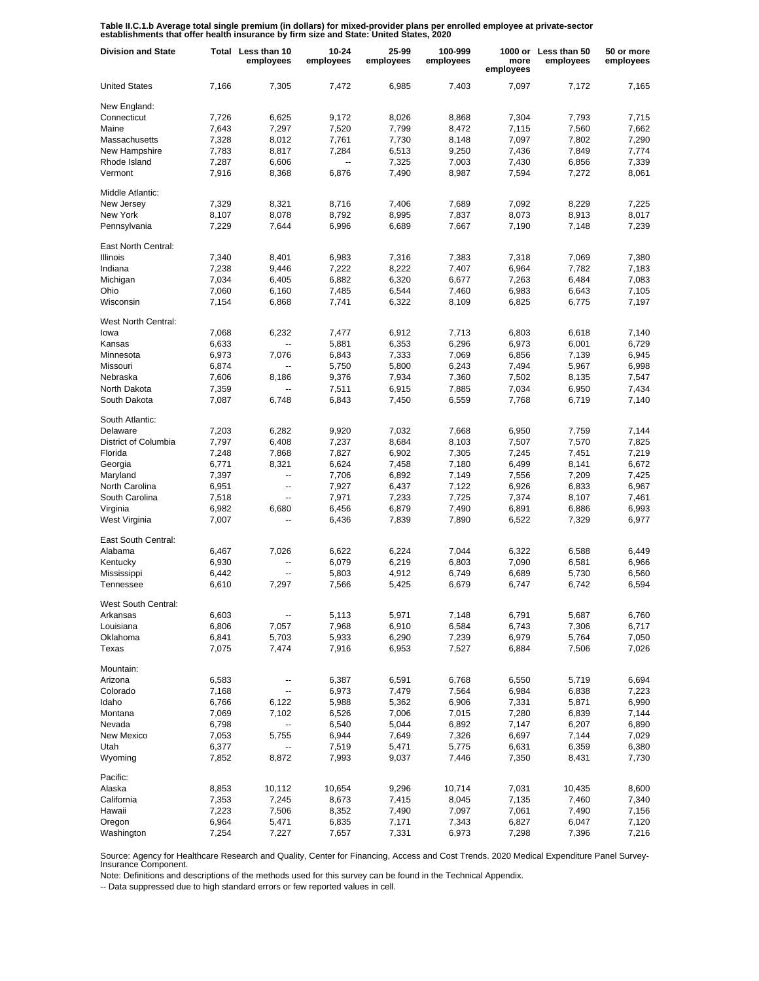**Table II.C.1.b Average total single premium (in dollars) for mixed-provider plans per enrolled employee at private-sector establishments that offer health insurance by firm size and State: United States, 2020**

| <b>Division and State</b>  |       | Total Less than 10<br>employees | 10-24<br>employees       | 25-99<br>employees | 100-999<br>employees | more<br>employees | 1000 or Less than 50<br>employees | 50 or more<br>employees |
|----------------------------|-------|---------------------------------|--------------------------|--------------------|----------------------|-------------------|-----------------------------------|-------------------------|
| <b>United States</b>       | 7.166 | 7,305                           | 7,472                    | 6,985              | 7,403                | 7,097             | 7,172                             | 7.165                   |
| New England:               |       |                                 |                          |                    |                      |                   |                                   |                         |
| Connecticut                | 7,726 | 6,625                           | 9.172                    | 8,026              | 8,868                | 7,304             | 7,793                             | 7,715                   |
| Maine                      | 7,643 | 7,297                           | 7,520                    | 7,799              | 8,472                | 7,115             | 7,560                             | 7.662                   |
| Massachusetts              | 7,328 | 8,012                           | 7,761                    | 7,730              | 8,148                | 7,097             | 7,802                             | 7,290                   |
|                            |       |                                 |                          |                    |                      |                   |                                   |                         |
| New Hampshire              | 7,783 | 8,817                           | 7,284                    | 6,513              | 9,250                | 7,436             | 7,849                             | 7,774                   |
| Rhode Island               | 7,287 | 6,606                           | $\overline{\phantom{a}}$ | 7,325              | 7,003                | 7,430             | 6,856                             | 7,339                   |
| Vermont                    | 7,916 | 8,368                           | 6,876                    | 7,490              | 8,987                | 7,594             | 7,272                             | 8,061                   |
| Middle Atlantic:           |       |                                 |                          |                    |                      |                   |                                   |                         |
| New Jersey                 | 7,329 | 8,321                           | 8,716                    | 7,406              | 7,689                | 7,092             | 8,229                             | 7,225                   |
| New York                   | 8,107 | 8,078                           | 8,792                    | 8,995              | 7,837                | 8,073             | 8,913                             | 8,017                   |
| Pennsylvania               | 7,229 | 7,644                           | 6,996                    | 6,689              | 7,667                | 7,190             | 7,148                             | 7,239                   |
| East North Central:        |       |                                 |                          |                    |                      |                   |                                   |                         |
| Illinois                   | 7,340 | 8,401                           | 6,983                    | 7,316              | 7,383                | 7,318             | 7,069                             | 7,380                   |
| Indiana                    | 7,238 | 9,446                           | 7,222                    | 8,222              | 7,407                | 6,964             | 7,782                             | 7,183                   |
| Michigan                   | 7,034 | 6,405                           | 6,882                    | 6,320              | 6,677                | 7,263             | 6,484                             | 7,083                   |
| Ohio                       | 7,060 | 6,160                           | 7,485                    | 6,544              | 7,460                | 6,983             | 6,643                             | 7,105                   |
|                            |       |                                 |                          |                    |                      |                   |                                   |                         |
| Wisconsin                  | 7,154 | 6,868                           | 7,741                    | 6,322              | 8,109                | 6,825             | 6,775                             | 7,197                   |
| <b>West North Central:</b> |       |                                 |                          |                    |                      |                   |                                   |                         |
| lowa                       | 7,068 | 6,232                           | 7,477                    | 6,912              | 7,713                | 6,803             | 6,618                             | 7,140                   |
| Kansas                     | 6,633 | $\overline{\phantom{a}}$        | 5,881                    | 6,353              | 6,296                | 6,973             | 6,001                             | 6,729                   |
| Minnesota                  | 6,973 | 7,076                           | 6,843                    | 7,333              | 7,069                | 6,856             | 7,139                             | 6,945                   |
| Missouri                   | 6,874 |                                 | 5,750                    | 5,800              | 6,243                | 7,494             | 5,967                             | 6,998                   |
| Nebraska                   | 7,606 | 8,186                           | 9,376                    | 7,934              | 7,360                | 7,502             | 8,135                             | 7,547                   |
| North Dakota               | 7,359 | Ξ.                              | 7,511                    | 6,915              | 7,885                | 7,034             | 6,950                             | 7,434                   |
| South Dakota               | 7,087 | 6,748                           | 6,843                    | 7,450              | 6,559                | 7,768             | 6,719                             | 7,140                   |
|                            |       |                                 |                          |                    |                      |                   |                                   |                         |
| South Atlantic:            |       |                                 |                          |                    |                      |                   |                                   |                         |
| Delaware                   | 7,203 | 6,282                           | 9,920                    | 7,032              | 7,668                | 6,950             | 7,759                             | 7,144                   |
| District of Columbia       | 7,797 | 6,408                           | 7,237                    | 8,684              | 8,103                | 7,507             | 7,570                             | 7,825                   |
| Florida                    | 7,248 | 7,868                           | 7,827                    | 6,902              | 7,305                | 7,245             | 7,451                             | 7,219                   |
| Georgia                    | 6,771 | 8,321                           | 6,624                    | 7,458              | 7,180                | 6,499             | 8,141                             | 6,672                   |
| Maryland                   | 7,397 | $\overline{\phantom{a}}$        | 7,706                    | 6,892              | 7,149                | 7,556             | 7,209                             | 7,425                   |
| North Carolina             | 6,951 | --                              | 7,927                    | 6,437              | 7,122                | 6,926             | 6,833                             | 6,967                   |
| South Carolina             | 7,518 | $\overline{\phantom{a}}$        | 7,971                    | 7,233              | 7,725                | 7,374             | 8,107                             | 7,461                   |
| Virginia                   | 6,982 | 6,680                           | 6,456                    | 6,879              | 7,490                | 6,891             | 6,886                             | 6,993                   |
| West Virginia              | 7,007 | Ξ.                              | 6,436                    | 7,839              | 7,890                | 6,522             | 7,329                             | 6,977                   |
|                            |       |                                 |                          |                    |                      |                   |                                   |                         |
| East South Central:        |       |                                 |                          |                    |                      |                   |                                   |                         |
| Alabama                    | 6,467 | 7,026                           | 6,622                    | 6,224              | 7,044                | 6,322             | 6,588                             | 6,449                   |
| Kentucky                   | 6,930 | $\overline{\phantom{a}}$        | 6,079                    | 6,219              | 6,803                | 7,090             | 6,581                             | 6,966                   |
| Mississippi                | 6,442 | $\overline{\phantom{a}}$        | 5,803                    | 4,912              | 6,749                | 6,689             | 5,730                             | 6,560                   |
| Tennessee                  | 6,610 | 7,297                           | 7,566                    | 5,425              | 6,679                | 6,747             | 6,742                             | 6,594                   |
| West South Central:        |       |                                 |                          |                    |                      |                   |                                   |                         |
| Arkansas                   | 6,603 | --                              | 5,113                    | 5,971              | 7,148                | 6,791             | 5,687                             | 6,760                   |
| Louisiana                  | 6,806 | 7,057                           | 7,968                    | 6,910              | 6,584                | 6,743             | 7,306                             | 6,717                   |
| Oklahoma                   | 6,841 | 5,703                           | 5,933                    | 6,290              | 7,239                | 6,979             | 5,764                             | 7,050                   |
| Texas                      | 7,075 | 7,474                           | 7,916                    | 6,953              | 7,527                | 6,884             | 7,506                             | 7,026                   |
|                            |       |                                 |                          |                    |                      |                   |                                   |                         |
| Mountain:                  |       |                                 |                          |                    |                      |                   |                                   |                         |
| Arizona                    | 6,583 | ÷                               | 6,387                    | 6,591              | 6,768                | 6,550             | 5,719                             | 6,694                   |
| Colorado                   | 7,168 | --                              | 6,973                    | 7,479              | 7,564                | 6,984             | 6,838                             | 7,223                   |
| Idaho                      | 6,766 | 6,122                           | 5,988                    | 5,362              | 6,906                | 7,331             | 5,871                             | 6,990                   |
| Montana                    | 7,069 | 7,102                           | 6,526                    | 7,006              | 7,015                | 7,280             | 6,839                             | 7,144                   |
| Nevada                     | 6,798 | --                              | 6,540                    | 5,044              | 6,892                | 7,147             | 6,207                             | 6,890                   |
| New Mexico                 | 7,053 | 5,755                           | 6,944                    | 7,649              | 7,326                | 6,697             | 7,144                             | 7,029                   |
| Utah                       | 6,377 |                                 | 7,519                    | 5,471              | 5,775                | 6,631             | 6,359                             | 6,380                   |
| Wyoming                    | 7,852 | 8,872                           | 7,993                    | 9,037              | 7,446                | 7,350             | 8,431                             | 7,730                   |
|                            |       |                                 |                          |                    |                      |                   |                                   |                         |
| Pacific:                   |       |                                 |                          |                    |                      |                   |                                   |                         |
| Alaska                     | 8,853 | 10,112                          | 10,654                   | 9,296              | 10,714               | 7,031             | 10,435                            | 8,600                   |
| California                 | 7,353 | 7,245                           | 8,673                    | 7,415              | 8,045                | 7,135             | 7,460                             | 7,340                   |
| Hawaii                     | 7,223 | 7,506                           | 8,352                    | 7,490              | 7,097                | 7,061             | 7,490                             | 7,156                   |
| Oregon                     | 6,964 | 5,471                           | 6,835                    | 7,171              | 7,343                | 6,827             | 6,047                             | 7,120                   |
| Washington                 | 7,254 | 7,227                           | 7,657                    | 7,331              | 6,973                | 7,298             | 7,396                             | 7,216                   |

Source: Agency for Healthcare Research and Quality, Center for Financing, Access and Cost Trends. 2020 Medical Expenditure Panel Survey-Insurance Component.

Note: Definitions and descriptions of the methods used for this survey can be found in the Technical Appendix.

-- Data suppressed due to high standard errors or few reported values in cell.